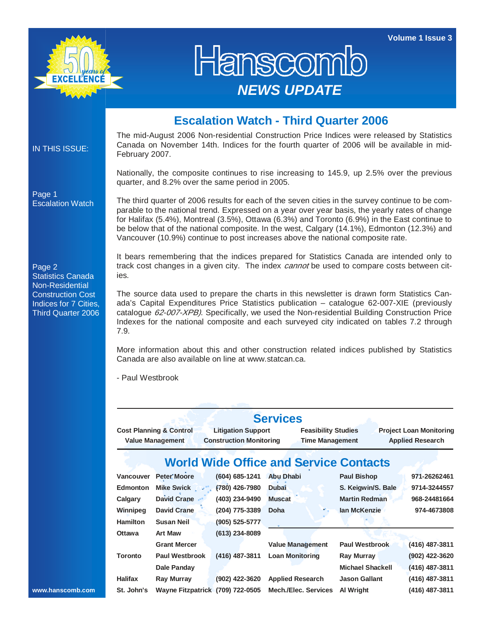**Volume 1 Issue 3** 



## Hanscon *NEWS UPDATE*

## **Escalation Watch - Third Quarter 2006**

IN THIS ISSUE:

Escalation Watch

Page 1

The mid-August 2006 Non-residential Construction Price Indices were released by Statistics Canada on November 14th. Indices for the fourth quarter of 2006 will be available in mid-February 2007.

Nationally, the composite continues to rise increasing to 145.9, up 2.5% over the previous quarter, and 8.2% over the same period in 2005.

The third quarter of 2006 results for each of the seven cities in the survey continue to be comparable to the national trend. Expressed on a year over year basis, the yearly rates of change for Halifax (5.4%), Montreal (3.5%), Ottawa (6.3%) and Toronto (6.9%) in the East continue to be below that of the national composite. In the west, Calgary (14.1%), Edmonton (12.3%) and Vancouver (10.9%) continue to post increases above the national composite rate.

It bears remembering that the indices prepared for Statistics Canada are intended only to track cost changes in a given city. The index *cannot* be used to compare costs between cities.

The source data used to prepare the charts in this newsletter is drawn form Statistics Canada's Capital Expenditures Price Statistics publication – catalogue 62-007-XIE (previously catalogue 62-007-XPB). Specifically, we used the Non-residential Building Construction Price Indexes for the national composite and each surveyed city indicated on tables 7.2 through 7.9.

More information about this and other construction related indices published by Statistics Canada are also available on line at www.statcan.ca.

- Paul Westbrook

|                |                                    |                                | <b>Services</b>                               |                       |                                |
|----------------|------------------------------------|--------------------------------|-----------------------------------------------|-----------------------|--------------------------------|
|                | <b>Cost Planning &amp; Control</b> | <b>Litigation Support</b>      | <b>Feasibility Studies</b>                    |                       | <b>Project Loan Monitoring</b> |
|                | <b>Value Management</b>            | <b>Construction Monitoring</b> | <b>Time Management</b>                        |                       | <b>Applied Research</b>        |
|                |                                    |                                | <b>World Wide Office and Service Contacts</b> |                       |                                |
| Vancouver      | Peter Moore                        | $(604) 685 - 1241$             | <b>Abu Dhabi</b>                              | Paul Bishop           | 971-26262461                   |
| Edmonton       | Mike Swick "                       | $(780)$ 426-7980               | Dubai                                         | S. Keigwin/S. Bale    | 9714-3244557                   |
| Calgary        | David Crane                        | (403) 234-9490                 | <b>Muscat</b>                                 | <b>Martin Redman</b>  | 968-24481664                   |
| Winnipeg       | David Crane                        | (204) 775-3389                 | Doha                                          | lan McKenzie          | 974-4673808                    |
| Hamilton       | <b>Susan Neil</b>                  | $(905) 525 - 5777$             |                                               |                       |                                |
| Ottawa         | Art Maw                            | $(613)$ 234-8089               |                                               |                       |                                |
|                | <b>Grant Mercer</b>                |                                | <b>Value Management</b>                       | <b>Paul Westbrook</b> | $(416)$ 487-3811               |
| Toronto        | <b>Paul Westbrook</b>              | $(416)$ 487-3811               | <b>Loan Monitoring</b>                        | Ray Murray            | (902) 422-3620                 |
|                | Dale Panday                        |                                |                                               | Michael Shackell      | $(416)$ 487-3811               |
| <b>Halifax</b> | Ray Murray                         | (902) 422-3620                 | <b>Applied Research</b>                       | <b>Jason Gallant</b>  | $(416)$ 487-3811               |
| St. John's     | Wayne Fitzpatrick                  | (709) 722-0505                 | Mech./Elec. Services                          | Al Wright             | $(416)$ 487-3811               |

Page 2 Statistics Canada Non-Residential Construction Cost Indices for 7 Cities, Third Quarter 2006